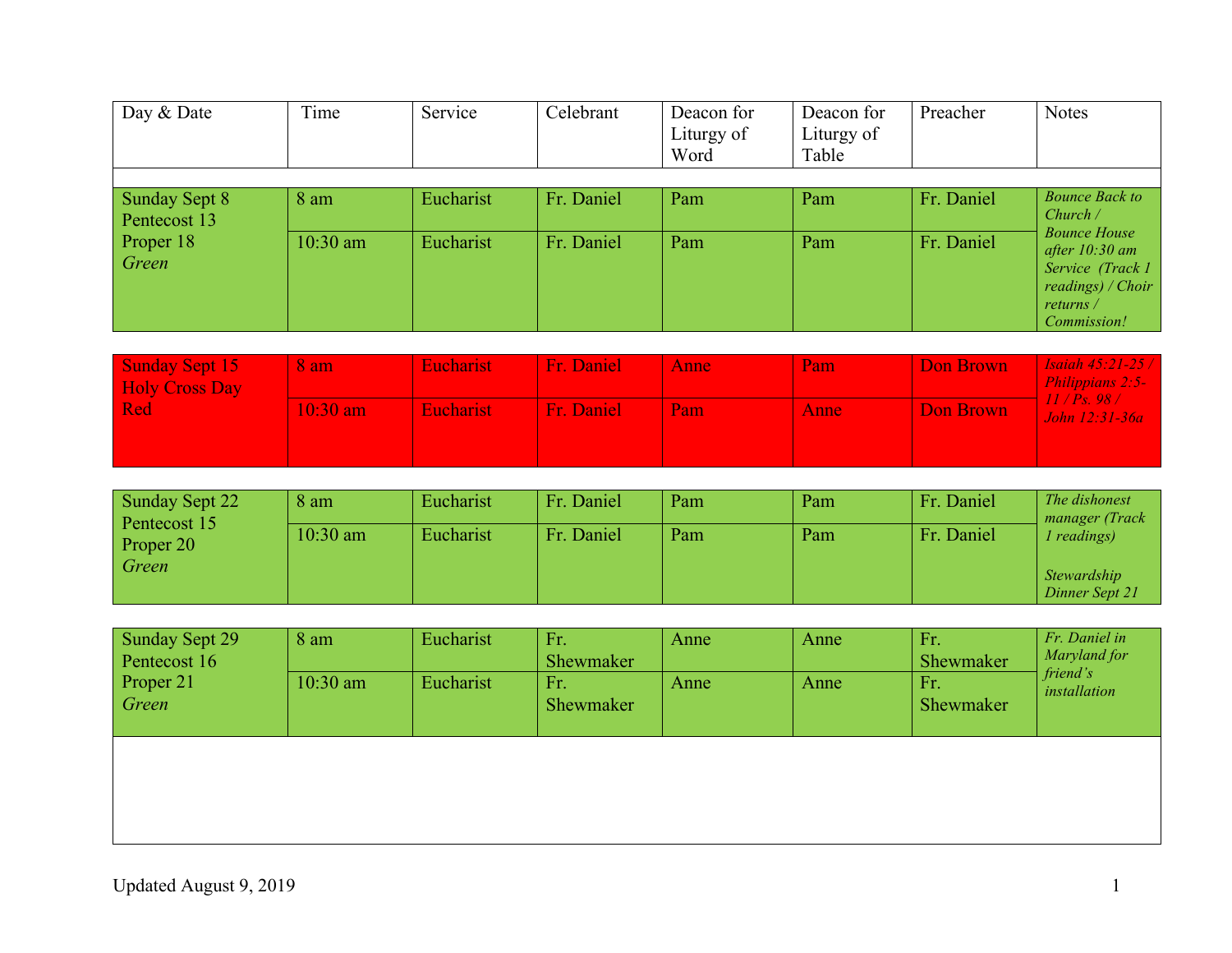| Day & Date                    | Time       | Service   | Celebrant  | Deacon for<br>Liturgy of<br>Word | Deacon for<br>Liturgy of<br>Table | Preacher   | <b>Notes</b>                                                                                                                       |
|-------------------------------|------------|-----------|------------|----------------------------------|-----------------------------------|------------|------------------------------------------------------------------------------------------------------------------------------------|
|                               |            |           |            |                                  |                                   |            |                                                                                                                                    |
| Sunday Sept 8<br>Pentecost 13 | 8 am       | Eucharist | Fr. Daniel | Pam                              | Pam                               | Fr. Daniel | <b>Bounce Back to</b><br>Church /                                                                                                  |
| Proper 18<br>Green            | $10:30$ am | Eucharist | Fr. Daniel | Pam                              | Pam                               | Fr. Daniel | <b>Bounce House</b><br>after $10:30$ am<br>Service (Track 1)<br>readings) / Choir<br>returns $\overline{\ }$<br><i>Commission!</i> |

| Sunday Sept 15<br><b>Holy Cross Day</b> | 8 am       | <b>Eucharist</b> | Fr. Daniel | Anne | Pam  | Don Brown | <b>Isaiah 45:21-25 /  </b><br>Philippians 2:5- |
|-----------------------------------------|------------|------------------|------------|------|------|-----------|------------------------------------------------|
| <b>Red</b>                              | $10:30$ am | <b>Eucharist</b> | Fr. Daniel | Pam  | Anne | Don Brown | 11/Ps.98/<br>John 12:31-36a                    |
|                                         |            |                  |            |      |      |           |                                                |

| <b>Sunday Sept 22</b>     | 8 am       | Eucharist | Fr. Daniel | Pam | Pam | Fr. Daniel | The dishonest<br>manager (Track      |
|---------------------------|------------|-----------|------------|-----|-----|------------|--------------------------------------|
| Pentecost 15<br>Proper 20 | $10:30$ am | Eucharist | Fr. Daniel | Pam | Pam | Fr. Daniel | <i>l</i> readings)                   |
| Green                     |            |           |            |     |     |            | <i>Stewardship</i><br>Dinner Sept 21 |

| Sunday Sept 29<br>Pentecost 16<br>Proper 21<br>Green | 8 am<br>$10:30$ am | Eucharist<br>Eucharist | Fr.<br>Shewmaker<br>Fr.<br><b>Shewmaker</b> | Anne<br>Anne | Anne<br>Anne | Fr.<br>Shewmaker<br>Fr.<br>Shewmaker | Fr. Daniel in<br>Maryland for<br>friend's<br>installation |
|------------------------------------------------------|--------------------|------------------------|---------------------------------------------|--------------|--------------|--------------------------------------|-----------------------------------------------------------|
|                                                      |                    |                        |                                             |              |              |                                      |                                                           |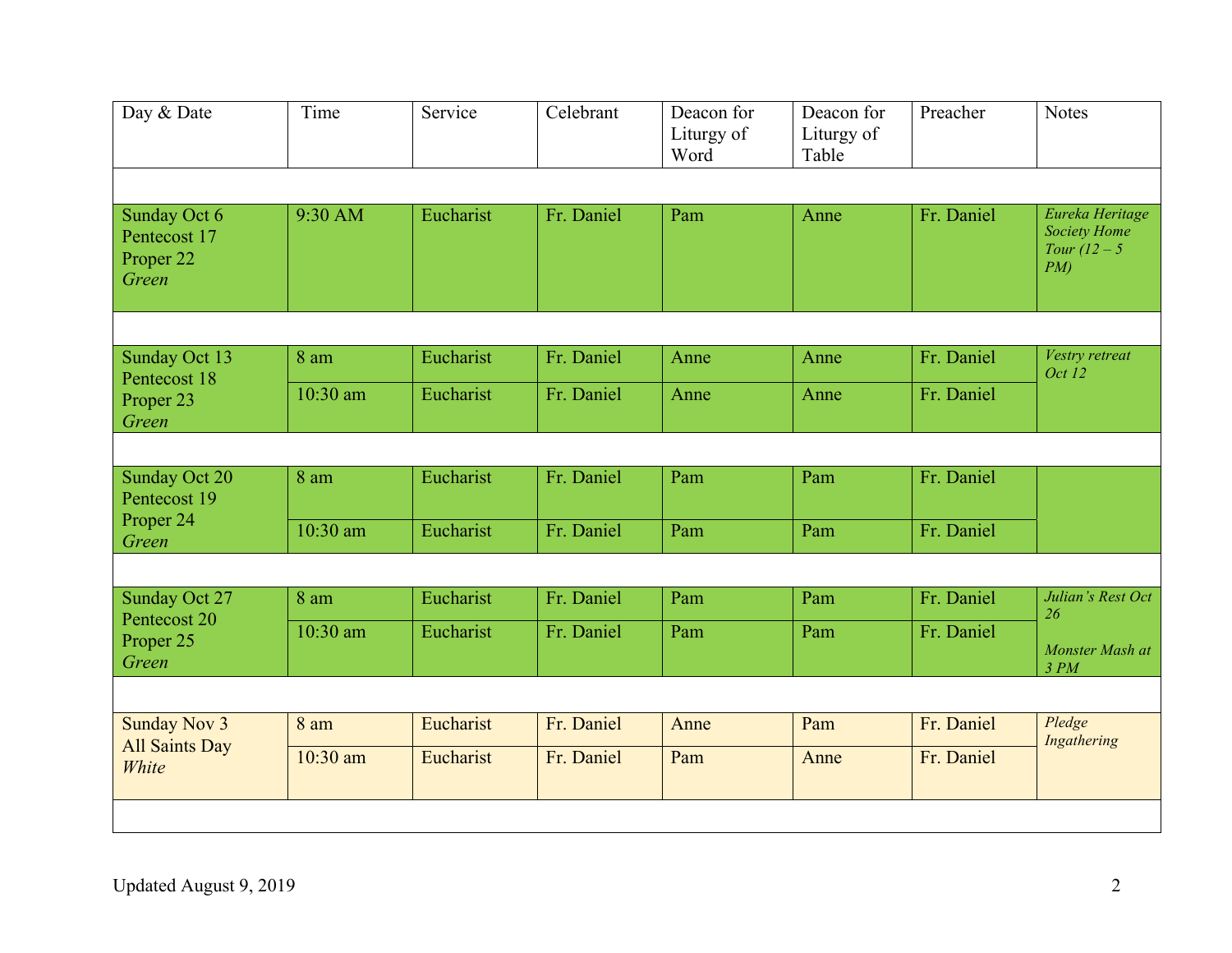| Day & Date                                                    | Time           | Service   | Celebrant  | Deacon for<br>Liturgy of<br>Word | Deacon for<br>Liturgy of<br>Table | Preacher   | <b>Notes</b>                                                        |
|---------------------------------------------------------------|----------------|-----------|------------|----------------------------------|-----------------------------------|------------|---------------------------------------------------------------------|
|                                                               |                |           |            |                                  |                                   |            |                                                                     |
| Sunday Oct 6<br>Pentecost 17<br>Proper <sub>22</sub><br>Green | 9:30 AM        | Eucharist | Fr. Daniel | Pam                              | Anne                              | Fr. Daniel | Eureka Heritage<br><b>Society Home</b><br>Tour $(12 - 5)$<br>$PM$ ) |
|                                                               |                |           |            |                                  |                                   |            |                                                                     |
| Sunday Oct 13                                                 | $8 \text{ am}$ | Eucharist | Fr. Daniel | Anne                             | Anne                              | Fr. Daniel | Vestry retreat<br>Oct 12                                            |
| Pentecost 18<br>Proper <sub>23</sub><br>Green                 | 10:30 am       | Eucharist | Fr. Daniel | Anne                             | Anne                              | Fr. Daniel |                                                                     |
|                                                               |                |           |            |                                  |                                   |            |                                                                     |
| <b>Sunday Oct 20</b><br>Pentecost 19                          | 8 am           | Eucharist | Fr. Daniel | Pam                              | Pam                               | Fr. Daniel |                                                                     |
| Proper 24<br>Green                                            | 10:30 am       | Eucharist | Fr. Daniel | Pam                              | Pam                               | Fr. Daniel |                                                                     |
|                                                               |                |           |            |                                  |                                   |            |                                                                     |
| Sunday Oct 27                                                 | 8 am           | Eucharist | Fr. Daniel | Pam                              | Pam                               | Fr. Daniel | Julian's Rest Oct<br>26                                             |
| Pentecost 20<br>Proper 25<br>Green                            | 10:30 am       | Eucharist | Fr. Daniel | Pam                              | Pam                               | Fr. Daniel | Monster Mash at<br>3 PM                                             |
|                                                               |                |           |            |                                  |                                   |            |                                                                     |
| <b>Sunday Nov 3</b>                                           | 8 am           | Eucharist | Fr. Daniel | Anne                             | Pam                               | Fr. Daniel | Pledge<br>Ingathering                                               |
| <b>All Saints Day</b><br>White                                | 10:30 am       | Eucharist | Fr. Daniel | Pam                              | Anne                              | Fr. Daniel |                                                                     |
|                                                               |                |           |            |                                  |                                   |            |                                                                     |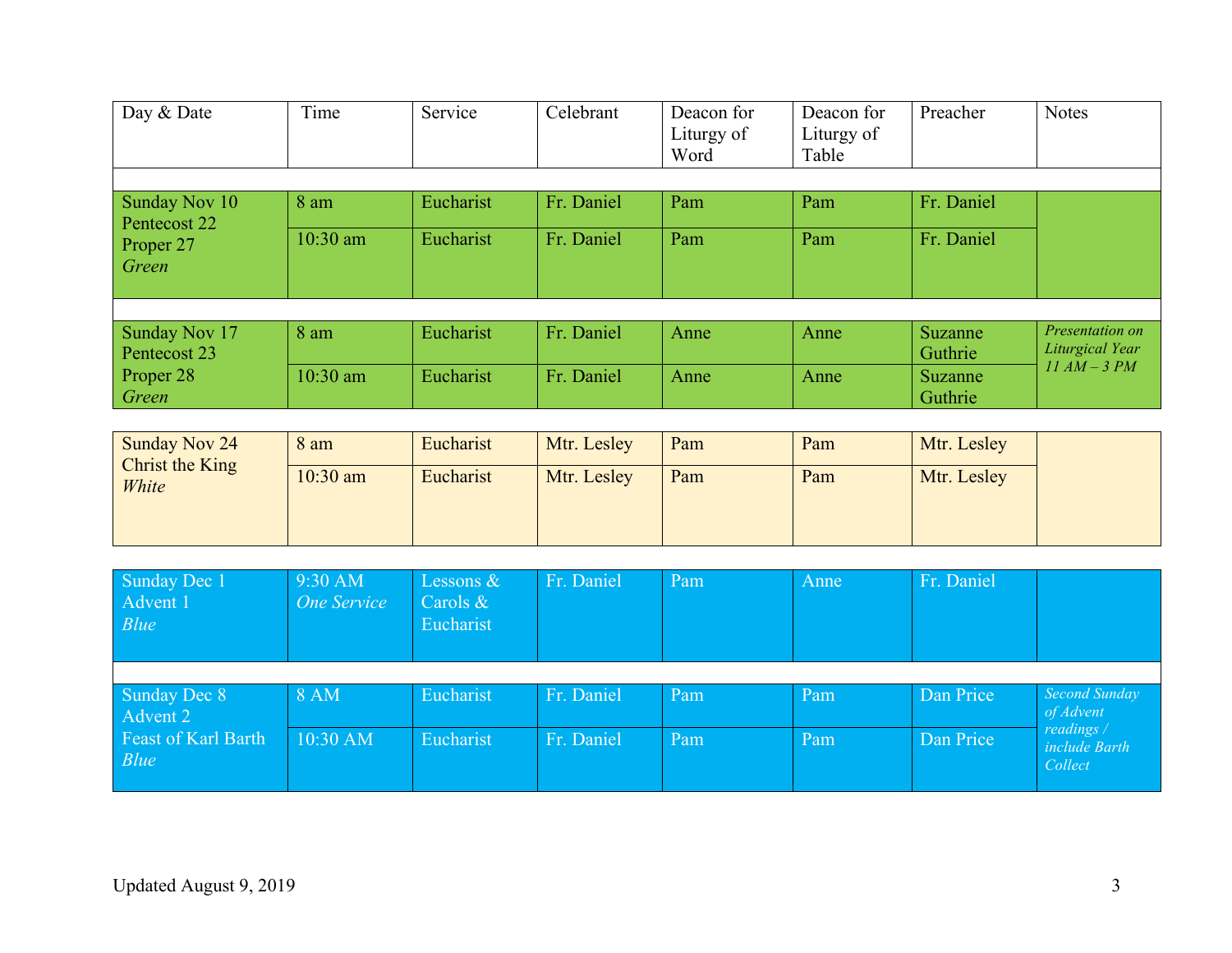| Day & Date                           | Time       | Service          | Celebrant  | Deacon for<br>Liturgy of<br>Word | Deacon for<br>Liturgy of<br>Table | Preacher   | <b>Notes</b>    |
|--------------------------------------|------------|------------------|------------|----------------------------------|-----------------------------------|------------|-----------------|
|                                      |            |                  |            |                                  |                                   |            |                 |
| <b>Sunday Nov 10</b><br>Pentecost 22 | 8 am       | Eucharist        | Fr. Daniel | Pam                              | Pam                               | Fr. Daniel |                 |
| Proper 27                            | $10:30$ am | Eucharist        | Fr. Daniel | Pam                              | Pam                               | Fr. Daniel |                 |
| Green                                |            |                  |            |                                  |                                   |            |                 |
|                                      |            |                  |            |                                  |                                   |            |                 |
| <b>Sunday Nov 17</b>                 | 8 am       | Eucharist        | Fr. Daniel | Anne                             | Anne                              | Suzanne/   | Presentation on |
| Pentecost 23                         |            |                  |            |                                  |                                   | Guthrie    | Liturgical Year |
| Proper 28                            | $10:30$ am | <b>Eucharist</b> | Fr. Daniel | Anne                             | Anne                              | Suzanne    | $11 AM - 3 PM$  |
| Green                                |            |                  |            |                                  |                                   | Guthrie    |                 |

| Eucharist | Mtr. Lesley             | Pam         | Pam | Mtr. Lesley |             |
|-----------|-------------------------|-------------|-----|-------------|-------------|
|           |                         |             |     |             |             |
|           |                         |             |     |             |             |
|           |                         |             |     |             |             |
|           | $10:30$ am<br>Eucharist | Mtr. Lesley | Pam | Pam         | Mtr. Lesley |

| Sunday Dec 1<br>Advent 1<br>Blue   | $9:30$ AM<br>One Service | Lessons $\&$<br>Carols $\&$<br>Eucharist | Fr. Daniel | Pam | Anne | Fr. Daniel |                                        |
|------------------------------------|--------------------------|------------------------------------------|------------|-----|------|------------|----------------------------------------|
|                                    |                          |                                          |            |     |      |            |                                        |
| Sunday Dec 8<br>Advent 2           | 8AM                      | Eucharist                                | Fr. Daniel | Pam | Pam  | Dan Price  | Second Sunday<br>of Advent             |
| <b>Feast of Karl Barth</b><br>Blue | $10:30$ AM               | Eucharist                                | Fr. Daniel | Pam | Pam  | Dan Price  | readings /<br>include Barth<br>Collect |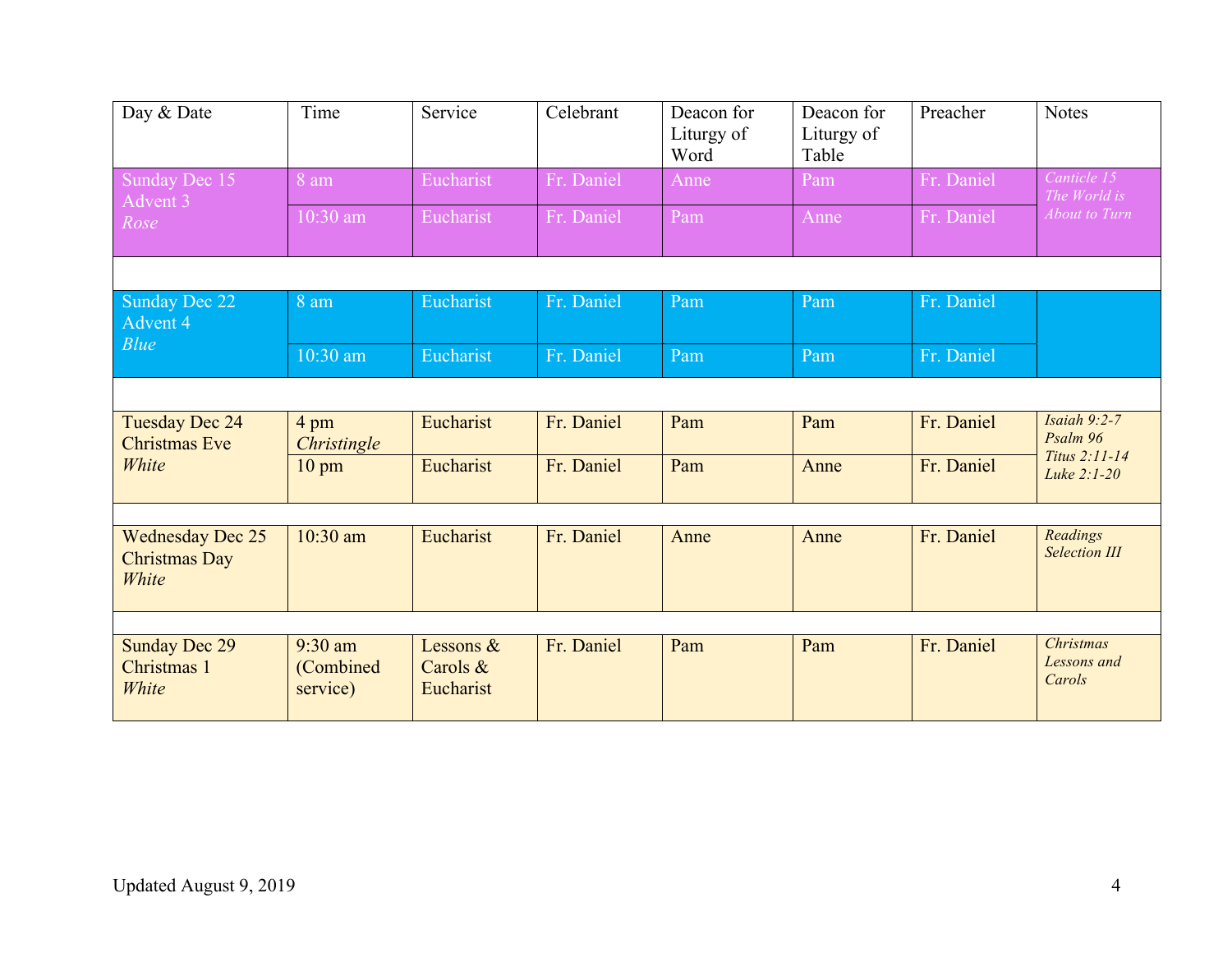| Day & Date                                        | Time                               | Service                            | Celebrant  | Deacon for<br>Liturgy of<br>Word | Deacon for<br>Liturgy of<br>Table | Preacher   | <b>Notes</b>                                |
|---------------------------------------------------|------------------------------------|------------------------------------|------------|----------------------------------|-----------------------------------|------------|---------------------------------------------|
| Sunday Dec 15<br>Advent 3                         | $8$ am                             | Eucharist                          | Fr. Daniel | Anne                             | Pam                               | Fr. Daniel | Canticle 15<br>The World is                 |
| Rose                                              | $10:30$ am                         | Eucharist                          | Fr. Daniel | Pam                              | Anne                              | Fr. Daniel | <b>About to Turn</b>                        |
|                                                   |                                    |                                    |            |                                  |                                   |            |                                             |
| Sunday Dec 22<br>Advent 4                         | 8 am                               | Eucharist                          | Fr. Daniel | Pam                              | Pam                               | Fr. Daniel |                                             |
| Blue                                              | 10:30 am                           | Eucharist                          | Fr. Daniel | Pam                              | Pam                               | Fr. Daniel |                                             |
|                                                   |                                    |                                    |            |                                  |                                   |            |                                             |
| <b>Tuesday Dec 24</b><br><b>Christmas Eve</b>     | 4 pm<br>Christingle                | Eucharist                          | Fr. Daniel | Pam                              | Pam                               | Fr. Daniel | Isaiah $9:2-7$<br>Psalm 96<br>Titus 2:11-14 |
| White                                             | $10 \text{ pm}$                    | Eucharist                          | Fr. Daniel | Pam                              | Anne                              | Fr. Daniel | Luke 2:1-20                                 |
|                                                   |                                    |                                    |            |                                  |                                   |            |                                             |
| <b>Wednesday Dec 25</b><br>Christmas Day<br>White | $10:30$ am                         | Eucharist                          | Fr. Daniel | Anne                             | Anne                              | Fr. Daniel | Readings<br><b>Selection III</b>            |
|                                                   |                                    |                                    |            |                                  |                                   |            |                                             |
| <b>Sunday Dec 29</b><br>Christmas 1<br>White      | $9:30$ am<br>(Combined<br>service) | Lessons &<br>Carols &<br>Eucharist | Fr. Daniel | Pam                              | Pam                               | Fr. Daniel | <b>Christmas</b><br>Lessons and<br>Carols   |